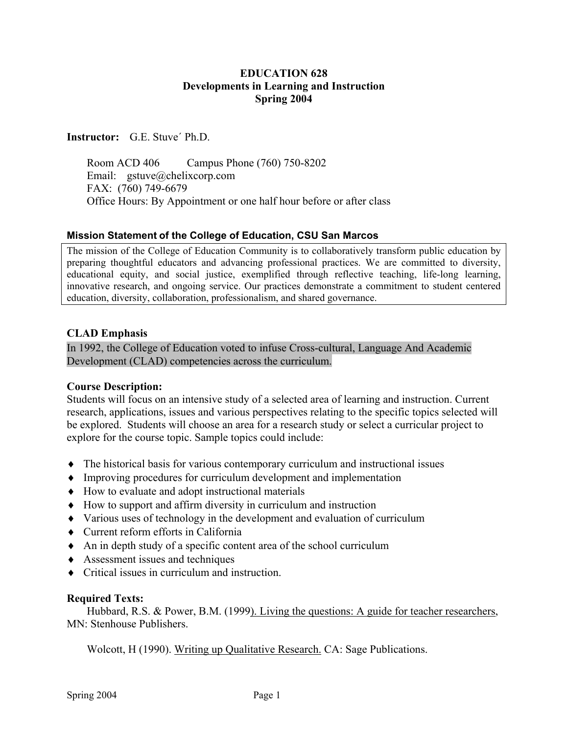# **EDUCATION 628 Developments in Learning and Instruction Spring 2004**

**Instructor:** G.E. Stuve´ Ph.D.

 Room ACD 406 Campus Phone (760) 750-8202 Email: gstuve@chelixcorp.com FAX: (760) 749-6679 Office Hours: By Appointment or one half hour before or after class

## **Mission Statement of the College of Education, CSU San Marcos**

The mission of the College of Education Community is to collaboratively transform public education by preparing thoughtful educators and advancing professional practices. We are committed to diversity, educational equity, and social justice, exemplified through reflective teaching, life-long learning, innovative research, and ongoing service. Our practices demonstrate a commitment to student centered education, diversity, collaboration, professionalism, and shared governance.

## **CLAD Emphasis**

In 1992, the College of Education voted to infuse Cross-cultural, Language And Academic Development (CLAD) competencies across the curriculum.

## **Course Description:**

Students will focus on an intensive study of a selected area of learning and instruction. Current research, applications, issues and various perspectives relating to the specific topics selected will be explored. Students will choose an area for a research study or select a curricular project to explore for the course topic. Sample topics could include:

- ♦ The historical basis for various contemporary curriculum and instructional issues
- ♦ Improving procedures for curriculum development and implementation
- ♦ How to evaluate and adopt instructional materials
- ♦ How to support and affirm diversity in curriculum and instruction
- ♦ Various uses of technology in the development and evaluation of curriculum
- ♦ Current reform efforts in California
- ♦ An in depth study of a specific content area of the school curriculum
- ♦ Assessment issues and techniques
- ♦ Critical issues in curriculum and instruction.

## **Required Texts:**

Hubbard, R.S. & Power, B.M. (1999). Living the questions: A guide for teacher researchers, MN: Stenhouse Publishers.

Wolcott, H (1990). Writing up Qualitative Research. CA: Sage Publications.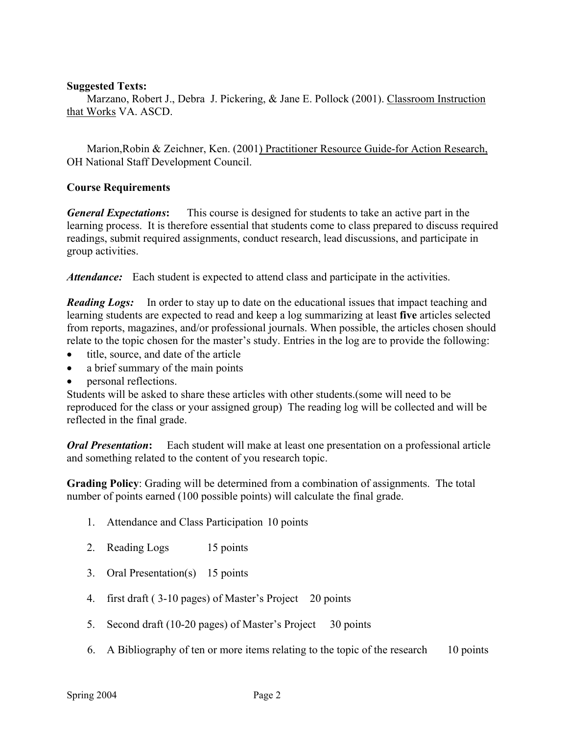## **Suggested Texts:**

Marzano, Robert J., Debra J. Pickering, & Jane E. Pollock (2001). Classroom Instruction that Works VA. ASCD.

Marion,Robin & Zeichner, Ken. (2001) Practitioner Resource Guide-for Action Research, OH National Staff Development Council.

## **Course Requirements**

*General Expectations***:** This course is designed for students to take an active part in the learning process. It is therefore essential that students come to class prepared to discuss required readings, submit required assignments, conduct research, lead discussions, and participate in group activities.

*Attendance:* Each student is expected to attend class and participate in the activities.

*Reading Logs:* In order to stay up to date on the educational issues that impact teaching and learning students are expected to read and keep a log summarizing at least **five** articles selected from reports, magazines, and/or professional journals. When possible, the articles chosen should relate to the topic chosen for the master's study. Entries in the log are to provide the following:

- title, source, and date of the article
- a brief summary of the main points
- personal reflections.

Students will be asked to share these articles with other students.(some will need to be reproduced for the class or your assigned group) The reading log will be collected and will be reflected in the final grade.

*Oral Presentation***:** Each student will make at least one presentation on a professional article and something related to the content of you research topic.

**Grading Policy**: Grading will be determined from a combination of assignments. The total number of points earned (100 possible points) will calculate the final grade.

- 1. Attendance and Class Participation 10 points
- 2. Reading Logs 15 points
- 3. Oral Presentation(s) 15 points
- 4. first draft ( 3-10 pages) of Master's Project 20 points
- 5. Second draft (10-20 pages) of Master's Project 30 points
- 6. A Bibliography of ten or more items relating to the topic of the research 10 points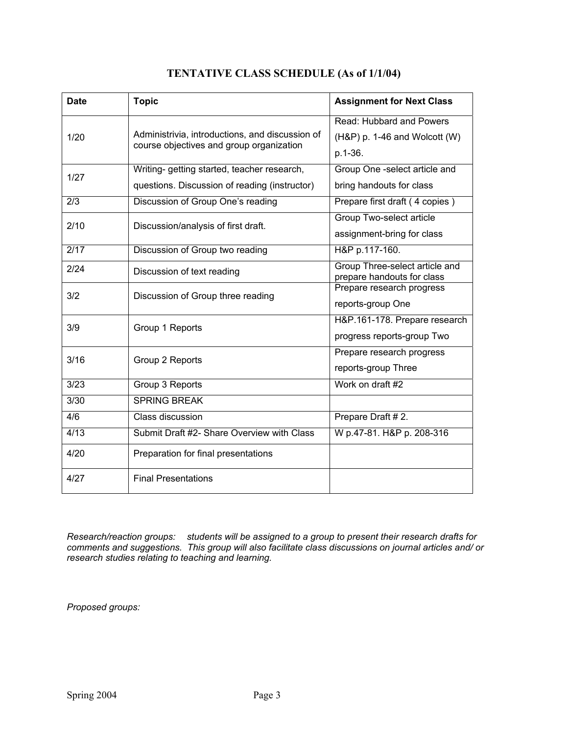| <b>Date</b> | <b>Topic</b>                                                                                 | <b>Assignment for Next Class</b>                                        |
|-------------|----------------------------------------------------------------------------------------------|-------------------------------------------------------------------------|
| 1/20        | Administrivia, introductions, and discussion of<br>course objectives and group organization  | Read: Hubbard and Powers<br>$(H\&P)$ p. 1-46 and Wolcott (W)<br>p.1-36. |
| 1/27        | Writing- getting started, teacher research,<br>questions. Discussion of reading (instructor) | Group One -select article and<br>bring handouts for class               |
| 2/3         | Discussion of Group One's reading                                                            | Prepare first draft (4 copies)                                          |
| 2/10        | Discussion/analysis of first draft.                                                          | Group Two-select article<br>assignment-bring for class                  |
| 2/17        | Discussion of Group two reading                                                              | H&P p.117-160.                                                          |
| 2/24        | Discussion of text reading                                                                   | Group Three-select article and<br>prepare handouts for class            |
| 3/2         | Discussion of Group three reading                                                            | Prepare research progress<br>reports-group One                          |
| 3/9         | Group 1 Reports                                                                              | H&P.161-178. Prepare research<br>progress reports-group Two             |
| 3/16        | Group 2 Reports                                                                              | Prepare research progress<br>reports-group Three                        |
| 3/23        | Group 3 Reports                                                                              | Work on draft #2                                                        |
| 3/30        | <b>SPRING BREAK</b>                                                                          |                                                                         |
| 4/6         | Class discussion                                                                             | Prepare Draft #2.                                                       |
| 4/13        | Submit Draft #2- Share Overview with Class                                                   | W p.47-81. H&P p. 208-316                                               |
| 4/20        | Preparation for final presentations                                                          |                                                                         |
| 4/27        | <b>Final Presentations</b>                                                                   |                                                                         |

# **TENTATIVE CLASS SCHEDULE (As of 1/1/04)**

*Research/reaction groups: students will be assigned to a group to present their research drafts for comments and suggestions. This group will also facilitate class discussions on journal articles and/ or research studies relating to teaching and learning.* 

*Proposed groups:*